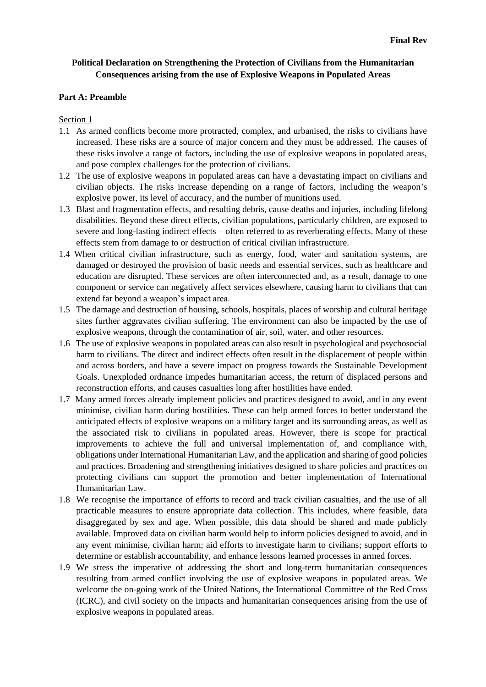# **Political Declaration on Strengthening the Protection of Civilians from the Humanitarian Consequences arising from the use of Explosive Weapons in Populated Areas**

#### **Part A: Preamble**

#### Section 1

- 1.1 As armed conflicts become more protracted, complex, and urbanised, the risks to civilians have increased. These risks are a source of major concern and they must be addressed. The causes of these risks involve a range of factors, including the use of explosive weapons in populated areas, and pose complex challenges for the protection of civilians.
- 1.2 The use of explosive weapons in populated areas can have a devastating impact on civilians and civilian objects. The risks increase depending on a range of factors, including the weapon's explosive power, its level of accuracy, and the number of munitions used.
- 1.3 Blast and fragmentation effects, and resulting debris, cause deaths and injuries, including lifelong disabilities. Beyond these direct effects, civilian populations, particularly children, are exposed to severe and long-lasting indirect effects – often referred to as reverberating effects. Many of these effects stem from damage to or destruction of critical civilian infrastructure.
- 1.4 When critical civilian infrastructure, such as energy, food, water and sanitation systems, are damaged or destroyed the provision of basic needs and essential services, such as healthcare and education are disrupted. These services are often interconnected and, as a result, damage to one component or service can negatively affect services elsewhere, causing harm to civilians that can extend far beyond a weapon's impact area.
- 1.5 The damage and destruction of housing, schools, hospitals, places of worship and cultural heritage sites further aggravates civilian suffering. The environment can also be impacted by the use of explosive weapons, through the contamination of air, soil, water, and other resources.
- 1.6 The use of explosive weapons in populated areas can also result in psychological and psychosocial harm to civilians. The direct and indirect effects often result in the displacement of people within and across borders, and have a severe impact on progress towards the Sustainable Development Goals. Unexploded ordnance impedes humanitarian access, the return of displaced persons and reconstruction efforts, and causes casualties long after hostilities have ended.
- 1.7 Many armed forces already implement policies and practices designed to avoid, and in any event minimise, civilian harm during hostilities. These can help armed forces to better understand the anticipated effects of explosive weapons on a military target and its surrounding areas, as well as the associated risk to civilians in populated areas. However, there is scope for practical improvements to achieve the full and universal implementation of, and compliance with, obligations under International Humanitarian Law, and the application and sharing of good policies and practices. Broadening and strengthening initiatives designed to share policies and practices on protecting civilians can support the promotion and better implementation of International Humanitarian Law.
- 1.8 We recognise the importance of efforts to record and track civilian casualties, and the use of all practicable measures to ensure appropriate data collection. This includes, where feasible, data disaggregated by sex and age. When possible, this data should be shared and made publicly available. Improved data on civilian harm would help to inform policies designed to avoid, and in any event minimise, civilian harm; aid efforts to investigate harm to civilians; support efforts to determine or establish accountability, and enhance lessons learned processes in armed forces.
- 1.9 We stress the imperative of addressing the short and long-term humanitarian consequences resulting from armed conflict involving the use of explosive weapons in populated areas. We welcome the on-going work of the United Nations, the International Committee of the Red Cross (ICRC), and civil society on the impacts and humanitarian consequences arising from the use of explosive weapons in populated areas.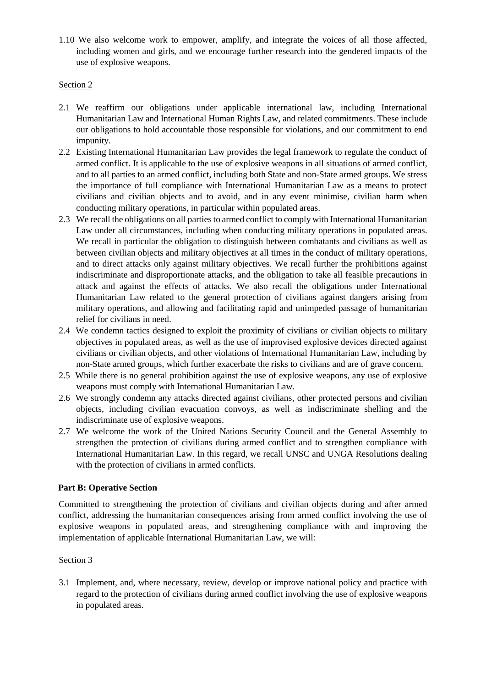1.10 We also welcome work to empower, amplify, and integrate the voices of all those affected, including women and girls, and we encourage further research into the gendered impacts of the use of explosive weapons.

# Section 2

- 2.1 We reaffirm our obligations under applicable international law, including International Humanitarian Law and International Human Rights Law, and related commitments. These include our obligations to hold accountable those responsible for violations, and our commitment to end impunity.
- 2.2 Existing International Humanitarian Law provides the legal framework to regulate the conduct of armed conflict. It is applicable to the use of explosive weapons in all situations of armed conflict, and to all parties to an armed conflict, including both State and non-State armed groups. We stress the importance of full compliance with International Humanitarian Law as a means to protect civilians and civilian objects and to avoid, and in any event minimise, civilian harm when conducting military operations, in particular within populated areas.
- 2.3 We recall the obligations on all parties to armed conflict to comply with International Humanitarian Law under all circumstances, including when conducting military operations in populated areas. We recall in particular the obligation to distinguish between combatants and civilians as well as between civilian objects and military objectives at all times in the conduct of military operations, and to direct attacks only against military objectives. We recall further the prohibitions against indiscriminate and disproportionate attacks, and the obligation to take all feasible precautions in attack and against the effects of attacks. We also recall the obligations under International Humanitarian Law related to the general protection of civilians against dangers arising from military operations, and allowing and facilitating rapid and unimpeded passage of humanitarian relief for civilians in need.
- 2.4 We condemn tactics designed to exploit the proximity of civilians or civilian objects to military objectives in populated areas, as well as the use of improvised explosive devices directed against civilians or civilian objects, and other violations of International Humanitarian Law, including by non-State armed groups, which further exacerbate the risks to civilians and are of grave concern.
- 2.5 While there is no general prohibition against the use of explosive weapons, any use of explosive weapons must comply with International Humanitarian Law.
- 2.6 We strongly condemn any attacks directed against civilians, other protected persons and civilian objects, including civilian evacuation convoys, as well as indiscriminate shelling and the indiscriminate use of explosive weapons.
- 2.7 We welcome the work of the United Nations Security Council and the General Assembly to strengthen the protection of civilians during armed conflict and to strengthen compliance with International Humanitarian Law. In this regard, we recall UNSC and UNGA Resolutions dealing with the protection of civilians in armed conflicts.

# **Part B: Operative Section**

Committed to strengthening the protection of civilians and civilian objects during and after armed conflict, addressing the humanitarian consequences arising from armed conflict involving the use of explosive weapons in populated areas, and strengthening compliance with and improving the implementation of applicable International Humanitarian Law, we will:

### Section 3

3.1 Implement, and, where necessary, review, develop or improve national policy and practice with regard to the protection of civilians during armed conflict involving the use of explosive weapons in populated areas.